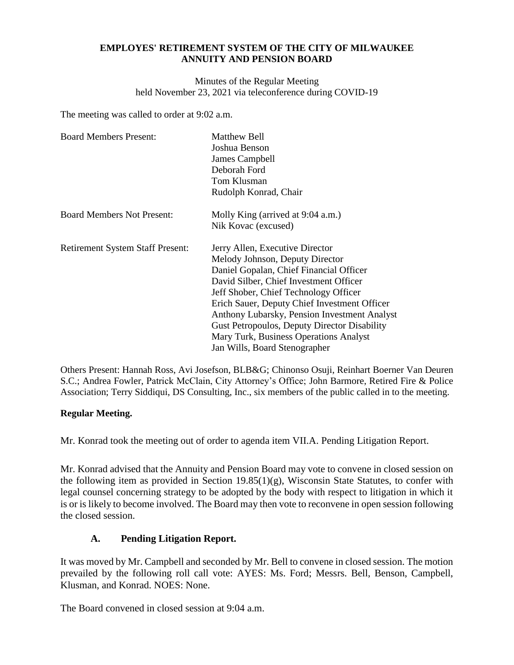### **EMPLOYES' RETIREMENT SYSTEM OF THE CITY OF MILWAUKEE ANNUITY AND PENSION BOARD**

Minutes of the Regular Meeting held November 23, 2021 via teleconference during COVID-19

The meeting was called to order at 9:02 a.m.

| <b>Board Members Present:</b>           | Matthew Bell<br>Joshua Benson<br>James Campbell<br>Deborah Ford<br>Tom Klusman<br>Rudolph Konrad, Chair                                                                                                                                                                                                                                                                                                                     |
|-----------------------------------------|-----------------------------------------------------------------------------------------------------------------------------------------------------------------------------------------------------------------------------------------------------------------------------------------------------------------------------------------------------------------------------------------------------------------------------|
| <b>Board Members Not Present:</b>       | Molly King (arrived at 9:04 a.m.)<br>Nik Kovac (excused)                                                                                                                                                                                                                                                                                                                                                                    |
| <b>Retirement System Staff Present:</b> | Jerry Allen, Executive Director<br>Melody Johnson, Deputy Director<br>Daniel Gopalan, Chief Financial Officer<br>David Silber, Chief Investment Officer<br>Jeff Shober, Chief Technology Officer<br>Erich Sauer, Deputy Chief Investment Officer<br>Anthony Lubarsky, Pension Investment Analyst<br>Gust Petropoulos, Deputy Director Disability<br>Mary Turk, Business Operations Analyst<br>Jan Wills, Board Stenographer |

Others Present: Hannah Ross, Avi Josefson, BLB&G; Chinonso Osuji, Reinhart Boerner Van Deuren S.C.; Andrea Fowler, Patrick McClain, City Attorney's Office; John Barmore, Retired Fire & Police Association; Terry Siddiqui, DS Consulting, Inc., six members of the public called in to the meeting.

# **Regular Meeting.**

Mr. Konrad took the meeting out of order to agenda item VII.A. Pending Litigation Report.

Mr. Konrad advised that the Annuity and Pension Board may vote to convene in closed session on the following item as provided in Section 19.85(1)(g), Wisconsin State Statutes, to confer with legal counsel concerning strategy to be adopted by the body with respect to litigation in which it is or is likely to become involved. The Board may then vote to reconvene in open session following the closed session.

# **A. Pending Litigation Report.**

It was moved by Mr. Campbell and seconded by Mr. Bell to convene in closed session. The motion prevailed by the following roll call vote: AYES: Ms. Ford; Messrs. Bell, Benson, Campbell, Klusman, and Konrad. NOES: None.

The Board convened in closed session at 9:04 a.m.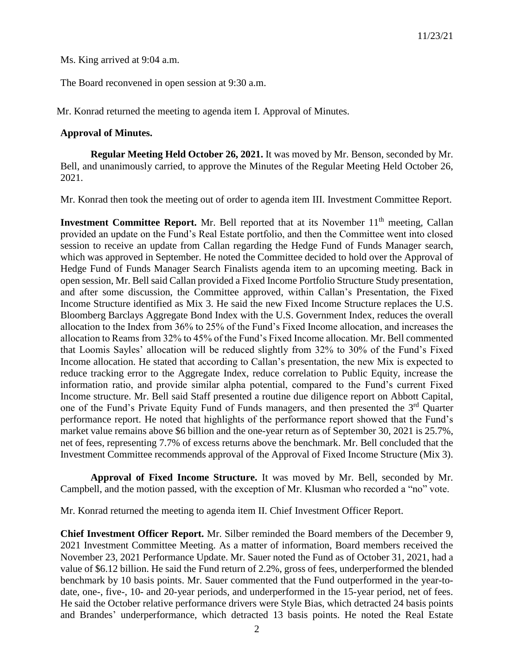Ms. King arrived at 9:04 a.m.

The Board reconvened in open session at 9:30 a.m.

Mr. Konrad returned the meeting to agenda item I. Approval of Minutes.

#### **Approval of Minutes.**

**Regular Meeting Held October 26, 2021.** It was moved by Mr. Benson, seconded by Mr. Bell, and unanimously carried, to approve the Minutes of the Regular Meeting Held October 26, 2021.

Mr. Konrad then took the meeting out of order to agenda item III. Investment Committee Report.

**Investment Committee Report.** Mr. Bell reported that at its November 11<sup>th</sup> meeting, Callan provided an update on the Fund's Real Estate portfolio, and then the Committee went into closed session to receive an update from Callan regarding the Hedge Fund of Funds Manager search, which was approved in September. He noted the Committee decided to hold over the Approval of Hedge Fund of Funds Manager Search Finalists agenda item to an upcoming meeting. Back in open session, Mr. Bell said Callan provided a Fixed Income Portfolio Structure Study presentation, and after some discussion, the Committee approved, within Callan's Presentation, the Fixed Income Structure identified as Mix 3. He said the new Fixed Income Structure replaces the U.S. Bloomberg Barclays Aggregate Bond Index with the U.S. Government Index, reduces the overall allocation to the Index from 36% to 25% of the Fund's Fixed Income allocation, and increases the allocation to Reams from 32% to 45% of the Fund's Fixed Income allocation. Mr. Bell commented that Loomis Sayles' allocation will be reduced slightly from 32% to 30% of the Fund's Fixed Income allocation. He stated that according to Callan's presentation, the new Mix is expected to reduce tracking error to the Aggregate Index, reduce correlation to Public Equity, increase the information ratio, and provide similar alpha potential, compared to the Fund's current Fixed Income structure. Mr. Bell said Staff presented a routine due diligence report on Abbott Capital, one of the Fund's Private Equity Fund of Funds managers, and then presented the 3rd Quarter performance report. He noted that highlights of the performance report showed that the Fund's market value remains above \$6 billion and the one-year return as of September 30, 2021 is 25.7%, net of fees, representing 7.7% of excess returns above the benchmark. Mr. Bell concluded that the Investment Committee recommends approval of the Approval of Fixed Income Structure (Mix 3).

**Approval of Fixed Income Structure.** It was moved by Mr. Bell, seconded by Mr. Campbell, and the motion passed, with the exception of Mr. Klusman who recorded a "no" vote.

Mr. Konrad returned the meeting to agenda item II. Chief Investment Officer Report.

**Chief Investment Officer Report.** Mr. Silber reminded the Board members of the December 9, 2021 Investment Committee Meeting. As a matter of information, Board members received the November 23, 2021 Performance Update. Mr. Sauer noted the Fund as of October 31, 2021, had a value of \$6.12 billion. He said the Fund return of 2.2%, gross of fees, underperformed the blended benchmark by 10 basis points. Mr. Sauer commented that the Fund outperformed in the year-todate, one-, five-, 10- and 20-year periods, and underperformed in the 15-year period, net of fees. He said the October relative performance drivers were Style Bias, which detracted 24 basis points and Brandes' underperformance, which detracted 13 basis points. He noted the Real Estate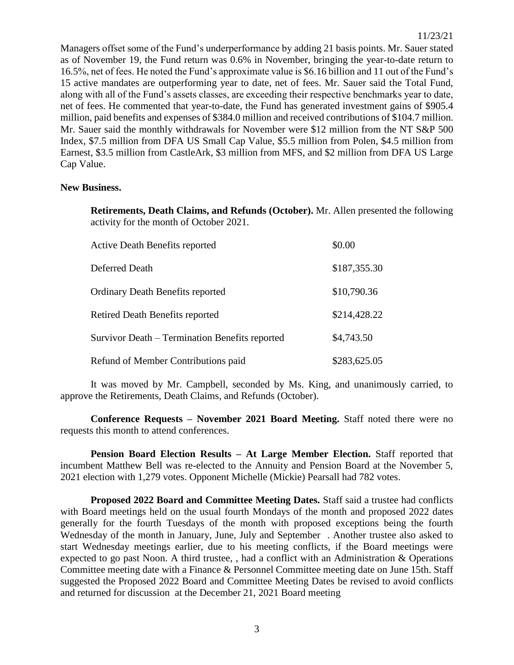Managers offset some of the Fund's underperformance by adding 21 basis points. Mr. Sauer stated as of November 19, the Fund return was 0.6% in November, bringing the year-to-date return to 16.5%, net of fees. He noted the Fund's approximate value is \$6.16 billion and 11 out of the Fund's 15 active mandates are outperforming year to date, net of fees. Mr. Sauer said the Total Fund, along with all of the Fund's assets classes, are exceeding their respective benchmarks year to date, net of fees. He commented that year-to-date, the Fund has generated investment gains of \$905.4 million, paid benefits and expenses of \$384.0 million and received contributions of \$104.7 million. Mr. Sauer said the monthly withdrawals for November were \$12 million from the NT S&P 500 Index, \$7.5 million from DFA US Small Cap Value, \$5.5 million from Polen, \$4.5 million from Earnest, \$3.5 million from CastleArk, \$3 million from MFS, and \$2 million from DFA US Large Cap Value.

### **New Business.**

**Retirements, Death Claims, and Refunds (October).** Mr. Allen presented the following activity for the month of October 2021.

| <b>Active Death Benefits reported</b>          | \$0.00       |
|------------------------------------------------|--------------|
| Deferred Death                                 | \$187,355.30 |
| <b>Ordinary Death Benefits reported</b>        | \$10,790.36  |
| <b>Retired Death Benefits reported</b>         | \$214,428.22 |
| Survivor Death – Termination Benefits reported | \$4,743.50   |
| Refund of Member Contributions paid            | \$283,625.05 |

It was moved by Mr. Campbell, seconded by Ms. King, and unanimously carried, to approve the Retirements, Death Claims, and Refunds (October).

**Conference Requests – November 2021 Board Meeting.** Staff noted there were no requests this month to attend conferences.

**Pension Board Election Results – At Large Member Election.** Staff reported that incumbent Matthew Bell was re-elected to the Annuity and Pension Board at the November 5, 2021 election with 1,279 votes. Opponent Michelle (Mickie) Pearsall had 782 votes.

**Proposed 2022 Board and Committee Meeting Dates.** Staff said a trustee had conflicts with Board meetings held on the usual fourth Mondays of the month and proposed 2022 dates generally for the fourth Tuesdays of the month with proposed exceptions being the fourth Wednesday of the month in January, June, July and September . Another trustee also asked to start Wednesday meetings earlier, due to his meeting conflicts, if the Board meetings were expected to go past Noon. A third trustee, , had a conflict with an Administration & Operations Committee meeting date with a Finance & Personnel Committee meeting date on June 15th. Staff suggested the Proposed 2022 Board and Committee Meeting Dates be revised to avoid conflicts and returned for discussion at the December 21, 2021 Board meeting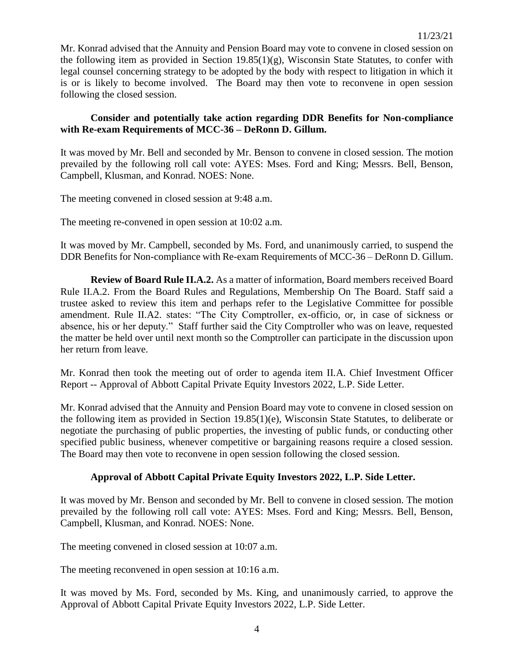Mr. Konrad advised that the Annuity and Pension Board may vote to convene in closed session on the following item as provided in Section 19.85(1)(g), Wisconsin State Statutes, to confer with legal counsel concerning strategy to be adopted by the body with respect to litigation in which it is or is likely to become involved. The Board may then vote to reconvene in open session following the closed session.

## **Consider and potentially take action regarding DDR Benefits for Non-compliance with Re-exam Requirements of MCC-36 – DeRonn D. Gillum.**

It was moved by Mr. Bell and seconded by Mr. Benson to convene in closed session. The motion prevailed by the following roll call vote: AYES: Mses. Ford and King; Messrs. Bell, Benson, Campbell, Klusman, and Konrad. NOES: None.

The meeting convened in closed session at 9:48 a.m.

The meeting re-convened in open session at 10:02 a.m.

It was moved by Mr. Campbell, seconded by Ms. Ford, and unanimously carried, to suspend the DDR Benefits for Non-compliance with Re-exam Requirements of MCC-36 – DeRonn D. Gillum.

**Review of Board Rule II.A.2.** As a matter of information, Board members received Board Rule II.A.2. From the Board Rules and Regulations, Membership On The Board. Staff said a trustee asked to review this item and perhaps refer to the Legislative Committee for possible amendment. Rule II.A2. states: "The City Comptroller, ex-officio, or, in case of sickness or absence, his or her deputy." Staff further said the City Comptroller who was on leave, requested the matter be held over until next month so the Comptroller can participate in the discussion upon her return from leave.

Mr. Konrad then took the meeting out of order to agenda item II.A. Chief Investment Officer Report -- Approval of Abbott Capital Private Equity Investors 2022, L.P. Side Letter.

Mr. Konrad advised that the Annuity and Pension Board may vote to convene in closed session on the following item as provided in Section 19.85(1)(e), Wisconsin State Statutes, to deliberate or negotiate the purchasing of public properties, the investing of public funds, or conducting other specified public business, whenever competitive or bargaining reasons require a closed session. The Board may then vote to reconvene in open session following the closed session.

# **Approval of Abbott Capital Private Equity Investors 2022, L.P. Side Letter.**

It was moved by Mr. Benson and seconded by Mr. Bell to convene in closed session. The motion prevailed by the following roll call vote: AYES: Mses. Ford and King; Messrs. Bell, Benson, Campbell, Klusman, and Konrad. NOES: None.

The meeting convened in closed session at 10:07 a.m.

The meeting reconvened in open session at 10:16 a.m.

It was moved by Ms. Ford, seconded by Ms. King, and unanimously carried, to approve the Approval of Abbott Capital Private Equity Investors 2022, L.P. Side Letter.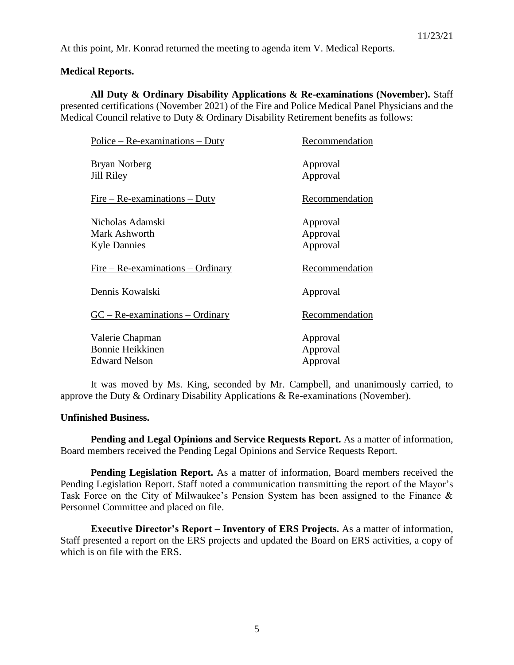At this point, Mr. Konrad returned the meeting to agenda item V. Medical Reports.

### **Medical Reports.**

**All Duty & Ordinary Disability Applications & Re-examinations (November).** Staff presented certifications (November 2021) of the Fire and Police Medical Panel Physicians and the Medical Council relative to Duty & Ordinary Disability Retirement benefits as follows:

| <u> Police – Re-examinations – Duty</u>                            | Recommendation                   |
|--------------------------------------------------------------------|----------------------------------|
| Bryan Norberg<br>Jill Riley                                        | Approval<br>Approval             |
| $Fire - Re-examinations - Duty$                                    | Recommendation                   |
| Nicholas Adamski<br>Mark Ashworth<br><b>Kyle Dannies</b>           | Approval<br>Approval<br>Approval |
| <u>Fire – Re-examinations – Ordinary</u>                           | Recommendation                   |
| Dennis Kowalski                                                    | Approval                         |
| $GC - Re-examinations - Ordinary$                                  | Recommendation                   |
| Valerie Chapman<br><b>Bonnie Heikkinen</b><br><b>Edward Nelson</b> | Approval<br>Approval<br>Approval |

It was moved by Ms. King, seconded by Mr. Campbell, and unanimously carried, to approve the Duty & Ordinary Disability Applications & Re-examinations (November).

### **Unfinished Business.**

**Pending and Legal Opinions and Service Requests Report.** As a matter of information, Board members received the Pending Legal Opinions and Service Requests Report.

**Pending Legislation Report.** As a matter of information, Board members received the Pending Legislation Report. Staff noted a communication transmitting the report of the Mayor's Task Force on the City of Milwaukee's Pension System has been assigned to the Finance & Personnel Committee and placed on file.

**Executive Director's Report – Inventory of ERS Projects.** As a matter of information, Staff presented a report on the ERS projects and updated the Board on ERS activities, a copy of which is on file with the ERS.